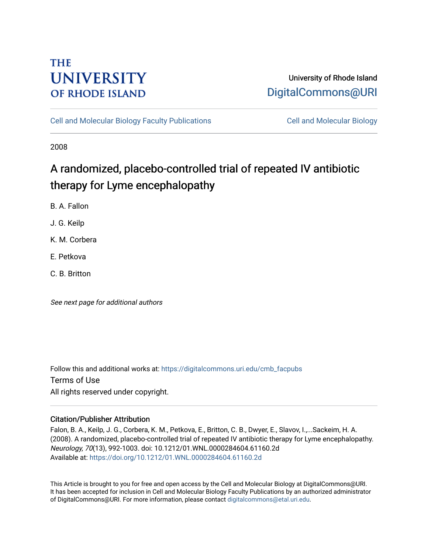# **THE UNIVERSITY OF RHODE ISLAND**

# University of Rhode Island [DigitalCommons@URI](https://digitalcommons.uri.edu/)

[Cell and Molecular Biology Faculty Publications](https://digitalcommons.uri.edu/cmb_facpubs) [Cell and Molecular Biology](https://digitalcommons.uri.edu/cmb) 

2008

# A randomized, placebo-controlled trial of repeated IV antibiotic therapy for Lyme encephalopathy

B. A. Fallon

J. G. Keilp

K. M. Corbera

E. Petkova

C. B. Britton

See next page for additional authors

Follow this and additional works at: [https://digitalcommons.uri.edu/cmb\\_facpubs](https://digitalcommons.uri.edu/cmb_facpubs?utm_source=digitalcommons.uri.edu%2Fcmb_facpubs%2F96&utm_medium=PDF&utm_campaign=PDFCoverPages)  Terms of Use All rights reserved under copyright.

## Citation/Publisher Attribution

Falon, B. A., Keilp, J. G., Corbera, K. M., Petkova, E., Britton, C. B., Dwyer, E., Slavov, I.,...Sackeim, H. A. (2008). A randomized, placebo-controlled trial of repeated IV antibiotic therapy for Lyme encephalopathy. Neurology, 70(13), 992-1003. doi: 10.1212/01.WNL.0000284604.61160.2d Available at:<https://doi.org/10.1212/01.WNL.0000284604.61160.2d>

This Article is brought to you for free and open access by the Cell and Molecular Biology at DigitalCommons@URI. It has been accepted for inclusion in Cell and Molecular Biology Faculty Publications by an authorized administrator of DigitalCommons@URI. For more information, please contact [digitalcommons@etal.uri.edu](mailto:digitalcommons@etal.uri.edu).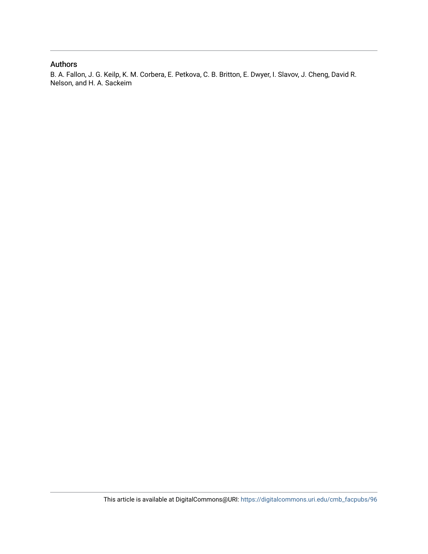## Authors

B. A. Fallon, J. G. Keilp, K. M. Corbera, E. Petkova, C. B. Britton, E. Dwyer, I. Slavov, J. Cheng, David R. Nelson, and H. A. Sackeim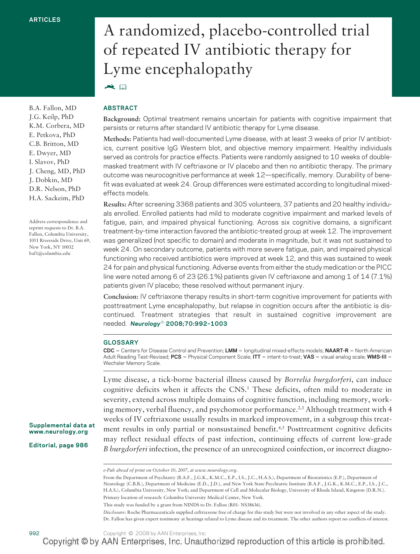B.A. Fallon, MD J.G. Keilp, PhD K.M. Corbera, MD E. Petkova, PhD C.B. Britton, MD E. Dwyer, MD I. Slavov, PhD J. Cheng, MD, PhD J. Dobkin, MD D.R. Nelson, PhD H.A. Sackeim, PhD

Address correspondence and reprint requests to Dr. B.A. Fallon, Columbia University, 1051 Riverside Drive, Unit 69, New York, NY 10032 baf1@columbia.edu

# A randomized, placebo-controlled trial of repeated IV antibiotic therapy for Lyme encephalopathy  $\blacktriangleright$

### **ABSTRACT**

**Background:** Optimal treatment remains uncertain for patients with cognitive impairment that persists or returns after standard IV antibiotic therapy for Lyme disease.

**Methods:** Patients had well-documented Lyme disease, with at least 3 weeks of prior IV antibiotics, current positive IgG Western blot, and objective memory impairment. Healthy individuals served as controls for practice effects. Patients were randomly assigned to 10 weeks of doublemasked treatment with IV ceftriaxone or IV placebo and then no antibiotic therapy. The primary outcome was neurocognitive performance at week 12—specifically, memory. Durability of benefit was evaluated at week 24. Group differences were estimated according to longitudinal mixedeffects models.

**Results:** After screening 3368 patients and 305 volunteers, 37 patients and 20 healthy individuals enrolled. Enrolled patients had mild to moderate cognitive impairment and marked levels of fatigue, pain, and impaired physical functioning. Across six cognitive domains, a significant treatment-by-time interaction favored the antibiotic-treated group at week 12. The improvement was generalized (not specific to domain) and moderate in magnitude, but it was not sustained to week 24. On secondary outcome, patients with more severe fatigue, pain, and impaired physical functioning who received antibiotics were improved at week 12, and this was sustained to week 24 for pain and physical functioning. Adverse events from either the study medication or the PICC line were noted among 6 of 23 (26.1%) patients given IV ceftriaxone and among 1 of 14 (7.1%) patients given IV placebo; these resolved without permanent injury.

**Conclusion:** IV ceftriaxone therapy results in short-term cognitive improvement for patients with posttreatment Lyme encephalopathy, but relapse in cognition occurs after the antibiotic is discontinued. Treatment strategies that result in sustained cognitive improvement are needed. *Neurology*® **2008;70:992–1003**

#### **GLOSSARY**

**CDC** = Centers for Disease Control and Prevention; LMM = longitudinal mixed-effects models; **NAART-R** = North American Adult Reading Test-Revised; PCS = Physical Component Scale; ITT = intent-to-treat; VAS = visual analog scale; WMS-III = Wechsler Memory Scale.

Lyme disease, a tick-borne bacterial illness caused by *Borrelia burgdorferi*, can induce cognitive deficits when it affects the CNS.1 These deficits, often mild to moderate in severity, extend across multiple domains of cognitive function, including memory, working memory, verbal fluency, and psychomotor performance.<sup>2,3</sup> Although treatment with 4 weeks of IV ceftriaxone usually results in marked improvement, in a subgroup this treatment results in only partial or nonsustained benefit.<sup>4,5</sup> Posttreatment cognitive deficits may reflect residual effects of past infection, continuing effects of current low-grade *B burgdorferi* infection, the presence of an unrecognized coinfection, or incorrect diagno-

This study was funded by a grant from NINDS to Dr. Fallon (R01- NS38636).

*Disclosure:* Roche Pharmaceuticals supplied ceftriaxone free of charge for this study but were not involved in any other aspect of the study. Dr. Fallon has given expert testimony at hearings related to Lyme disease and its treatment. The other authors report no conflicts of interest.

**Supplemental data at www.neurology.org**

**Editorial, page 986**

*e-Pub ahead of print on October 10, 2007, at www.neurology.org.*

From the Department of Psychiatry (B.A.F., J.G.K., K.M.C., E.P., I.S., J.C., H.A.S.), Department of Biostatistics (E.P.), Department of Neurology (C.B.B.), Department of Medicine (E.D., J.D.), and New York State Psychiatric Institute (B.A.F., J.G.K., K.M.C., E.P., I.S., J.C., H.A.S.), Columbia University, New York; and Department of Cell and Molecular Biology, University of Rhode Island, Kingston (D.R.N.). Primary location of research: Columbia University Medical Center, New York.

<sup>992</sup> Copyright © 2008 by AAN Enterprises, Inc.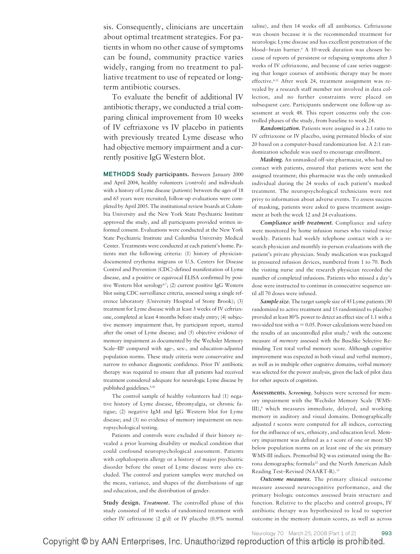sis. Consequently, clinicians are uncertain about optimal treatment strategies. For patients in whom no other cause of symptoms can be found, community practice varies widely, ranging from no treatment to palliative treatment to use of repeated or longterm antibiotic courses.

To evaluate the benefit of additional IV antibiotic therapy, we conducted a trial comparing clinical improvement from 10 weeks of IV ceftriaxone vs IV placebo in patients with previously treated Lyme disease who had objective memory impairment and a currently positive IgG Western blot.

**METHODS Study participants.** Between January 2000 and April 2004, healthy volunteers (*controls*) and individuals with a history of Lyme disease (*patients*) between the ages of 18 and 65 years were recruited; follow-up evaluations were completed by April 2005. The institutional review boards at Columbia University and the New York State Psychiatric Institute approved the study, and all participants provided written informed consent. Evaluations were conducted at the New York State Psychiatric Institute and Columbia University Medical Center. Treatments were conducted at each patient's home. Patients met the following criteria: (1) history of physiciandocumented erythema migrans or U.S. Centers for Disease Control and Prevention (CDC)-defined manifestation of Lyme disease, and a positive or equivocal ELISA confirmed by positive Western blot serology<sup>6,7</sup>; (2) current positive IgG Western blot using CDC surveillance criteria, assessed using a single reference laboratory (University Hospital of Stony Brook); (3) treatment for Lyme disease with at least 3 weeks of IV ceftriaxone, completed at least 4 months before study entry; (4) subjective memory impairment that, by participant report, started after the onset of Lyme disease; and (5) objective evidence of memory impairment as documented by the Wechsler Memory Scale–III<sup>8</sup> compared with age-, sex-, and education-adjusted population norms. These study criteria were conservative and narrow to enhance diagnostic confidence. Prior IV antibiotic therapy was required to ensure that all patients had received treatment considered adequate for neurologic Lyme disease by published guidelines.<sup>9,10</sup>

The control sample of healthy volunteers had (1) negative history of Lyme disease, fibromyalgia, or chronic fatigue; (2) negative IgM and IgG Western blot for Lyme disease; and (3) no evidence of memory impairment on neuropsychological testing.

Patients and controls were excluded if their history revealed a prior learning disability or medical condition that could confound neuropsychological assessment. Patients with cephalosporin allergy or a history of major psychiatric disorder before the onset of Lyme disease were also excluded. The control and patient samples were matched on the mean, variance, and shapes of the distributions of age and education, and the distribution of gender.

**Study design.** *Treatment.* The controlled phase of this study consisted of 10 weeks of randomized treatment with either IV ceftriaxone (2 g/d) or IV placebo (0.9% normal saline), and then 14 weeks off all antibiotics. Ceftriaxone was chosen because it is the recommended treatment for neurologic Lyme disease and has excellent penetration of the blood– brain barrier.9 A 10-week duration was chosen because of reports of persistent or relapsing symptoms after 3 weeks of IV ceftriaxone, and because of case series suggesting that longer courses of antibiotic therapy may be more effective.4,11 After week 24, treatment assignment was revealed by a research staff member not involved in data collection, and no further constraints were placed on subsequent care. Participants underwent one follow-up assessment at week 48. This report concerns only the controlled phases of the study, from baseline to week 24.

*Randomization.* Patients were assigned in a 2:1 ratio to IV ceftriaxone or IV placebo, using permuted blocks of size 20 based on a computer-based randomization list. A 2:1 randomization schedule was used to encourage enrollment.

*Masking.* An unmasked off-site pharmacist, who had no contact with patients, ensured that patients were sent the assigned treatment; this pharmacist was the only unmasked individual during the 24 weeks of each patient's masked treatment. The neuropsychological technicians were not privy to information about adverse events. To assess success of masking, patients were asked to guess treatment assignment at both the week 12 and 24 evaluations.

*Compliance with treatment.* Compliance and safety were monitored by home infusion nurses who visited twice weekly. Patients had weekly telephone contact with a research physician and monthly in-person evaluations with the patient's private physician. Study medication was packaged in pressured infusion devices, numbered from 1 to 70. Both the visiting nurse and the research physician recorded the number of completed infusions. Patients who missed a day's dose were instructed to continue in consecutive sequence until all 70 doses were infused.

*Sample size.* The target sample size of 45 Lyme patients (30 randomized to active treatment and 15 randomized to placebo) provided at least 80% power to detect an effect size of 1.1 with a two-sided test with  $\alpha = 0.05$ . Power calculations were based on the results of an uncontrolled pilot study,<sup>4</sup> with the outcome measure of *memory* assessed with the Buschke Selective Reminding Test total verbal memory score. Although cognitive improvement was expected in both visual and verbal memory, as well as in multiple other cognitive domains, verbal memory was selected for the power analysis, given the lack of pilot data for other aspects of cognition.

**Assessments.** *Screening.* Subjects were screened for memory impairment with the Wechsler Memory Scale (WMS-III),<sup>8</sup> which measures immediate, delayed, and working memory in auditory and visual domains. Demographically adjusted *t* scores were computed for all indices, correcting for the influence of sex, ethnicity, and education level. Memory impairment was defined as a *t* score of one or more SD below population norms on at least one of the six primary WMS-III indices. Premorbid IQ was estimated using the Barona demographic formula12 and the North American Adult Reading Test–Revised (NAART-R).13

*Outcome measures.* The primary clinical outcome measure assessed neurocognitive performance, and the primary biologic outcomes assessed brain structure and function. Relative to the placebo and control groups, IV antibiotic therapy was hypothesized to lead to superior outcome in the memory domain scores, as well as across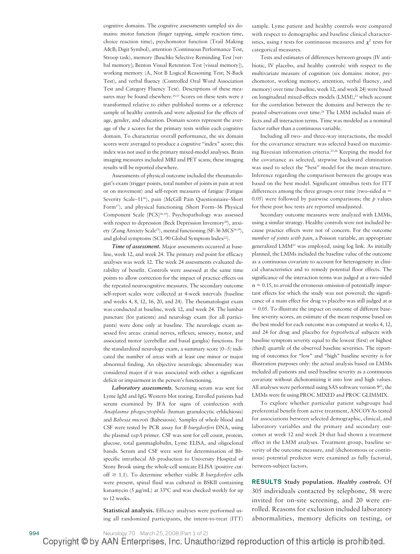cognitive domains. The cognitive assessments sampled six domains: motor function (finger tapping, simple reaction time, choice reaction time), psychomotor function (Trail Making A&B; Digit Symbol), attention (Continuous Performance Test, Stroop task), memory (Buschke Selective Reminding Test [verbal memory]; Benton Visual Retention Test [visual memory]), working memory (A, Not B Logical Reasoning Test; N-Back Test), and verbal fluency (Controlled Oral Word Association Test and Category Fluency Test). Descriptions of these measures may be found elsewhere.<sup>14,15</sup> Scores on these tests were z transformed relative to either published norms or a reference sample of healthy controls and were adjusted for the effects of age, gender, and education. Domain scores represent the average of the z scores for the primary tests within each cognitive domain. To characterize overall performance, the six domain scores were averaged to produce a cognitive "index" score; this index was not used in the primary mixed-model analyses. Brain imaging measures included MRI and PET scans; these imaging results will be reported elsewhere.

Assessments of physical outcome included the rheumatologist's exam (trigger points, total number of joints in pain at rest or on movement) and self-report measures of fatigue (Fatigue Severity Scale-11<sup>16</sup>), pain (McGill Pain Questionnaire-Short Form<sup>17</sup>), and physical functioning (Short Form–36 Physical Component Scale [PCS]<sup>18,19</sup>). Psychopathology was assessed with respect to depression (Beck Depression Inventory<sup>20</sup>), anxiety (Zung Anxiety Scale<sup>21</sup>), mental functioning (SF-36 MCS<sup>18,19</sup>), and global symptoms (SCL-90 Global Symptom Index<sup>22</sup>).

*Time of assessment.* Major assessments occurred at baseline, week 12, and week 24. The primary end point for efficacy analyses was week 12. The week 24 assessments evaluated durability of benefit. Controls were assessed at the same time points to allow correction for the impact of practice effects on the repeated neurocognitive measures. The secondary outcome self-report scales were collected at 4-week intervals (baseline and weeks 4, 8, 12, 16, 20, and 24). The rheumatologist exam was conducted at baseline, week 12, and week 24. The lumbar puncture (for patients) and neurology exam (for all participants) were done only at baseline. The neurologic exam assessed five areas: cranial nerves, reflexes, sensory, motor, and associated motor (cerebellar and basal ganglia) functions. For the standardized neurology exam, a summary score  $(0-5)$  indicated the number of areas with at least one minor or major abnormal finding. An objective neurologic abnormality was considered major if it was associated with either a significant deficit or impairment in the person's functioning.

*Laboratory assessments.* Screening serum was sent for Lyme IgM and IgG Western blot testing. Enrolled patients had serum examined by IFA for signs of coinfection with *Anaplasma phagocytophila* (human granulocytic erhlichiosis) and *Babesia microti* (Babesiosis). Samples of whole blood and CSF were tested by PCR assay for *B burgdorferi* DNA, using the plasmid *ospA* primer. CSF was sent for cell count, protein, glucose, total gammaglobulin, Lyme ELISA, and oligoclonal bands. Serum and CSF were sent for determination of Bbspecific intrathecal Ab production to University Hospital of Stony Brook using the whole-cell sonicate ELISA (positive cutoff  $\geq$  1.1). To determine whether viable *B burgdorferi* cells were present, spinal fluid was cultured in BSKII containing kanamycin (5  $\mu$ g/mL) at 33°C and was checked weekly for up to 12 weeks.

**Statistical analysis.** Efficacy analyses were performed using all randomized participants, the intent-to-treat (ITT) sample. Lyme patient and healthy controls were compared with respect to demographic and baseline clinical characteristics, using *t* tests for continuous measures and  $\chi^2$  tests for categorical measures.

Tests and estimates of differences between groups (IV antibiotic, IV placebo, and healthy controls) with respect to the multivariate measure of cognition (six domains: motor, psychomotor, working memory, attention, verbal fluency, and memory) over time (baseline, week 12, and week 24) were based on longitudinal mixed-effects models (LMM),<sup>23</sup> which account for the correlation between the domains and between the repeated observations over time.24 The LMM included main effects and all interaction terms. Time was modeled as a nominal factor rather than a continuous variable.

Including all two- and three-way interactions, the model for the covariance structure was selected based on maximizing Bayesian information criteria.25,26 Keeping the model for the covariance as selected, stepwise backward elimination was used to select the "best" model for the mean structure. Inference regarding the comparison between the groups was based on the best model. Significant omnibus tests for ITT differences among the three groups over time (two-sided  $\alpha$  = 0.05) were followed by pairwise comparisons; the *p* values for these post hoc tests are reported unadjusted.

Secondary outcome measures were analyzed with LMMs, using a similar strategy. Healthy controls were not included because practice effects were not of concern. For the outcome *number of joints with pain*, a Poisson variable, an appropriate generalized LMM23 was employed, using log link. As initially planned, the LMMs included the baseline value of the outcome as a continuous covariate to account for heterogeneity in clinical characteristics and to remedy potential floor effects. The significance of the interaction terms was judged at a two-sided  $\alpha = 0.15$ , to avoid the erroneous omission of potentially important effects for which the study was not powered; the significance of a main effect for drug vs placebo was still judged at  $\alpha$  $= 0.05$ . To illustrate the impact on outcome of different baseline severity scores, an estimate of the mean response based on the best model for each outcome was computed at weeks 4, 12, and 24 for drug and placebo for *hypothetical* subjects with baseline symptom severity equal to the lowest (first) or highest (third) quartile of the observed baseline severities. The reporting of outcomes for "low" and "high" baseline severity is for illustration purposes only: the actual analysis based on LMMs included all patients and used baseline severity as a continuous covariate without dichotomizing it into low and high values. All analyses were performed using SAS software version  $9^{25}$ ; the LMMs were fit using PROC MIXED and PROC GLIMMIX.

To explore whether particular patient subgroups had preferential benefit from active treatment, ANCOVAs tested for associations between selected demographic, clinical, and laboratory variables and the primary and secondary outcomes at week 12 and week 24 that had shown a treatment effect in the LMM analyses. Treatment group, baseline severity of the outcome measure, and (dichotomous or continuous) potential predictor were examined as fully factorial, between-subject factors.

**RESULTS Study population.** *Healthy controls.* Of 305 individuals contacted by telephone, 58 were invited for on-site screening, and 20 were enrolled. Reasons for exclusion included laboratory abnormalities, memory deficits on testing, or

994 Neurology 70 March 25, 2008 (Part 1 of 2)<br>Copyright © by AAN Enterprises, Inc. Unauthorized reproduction of this article is prohibited.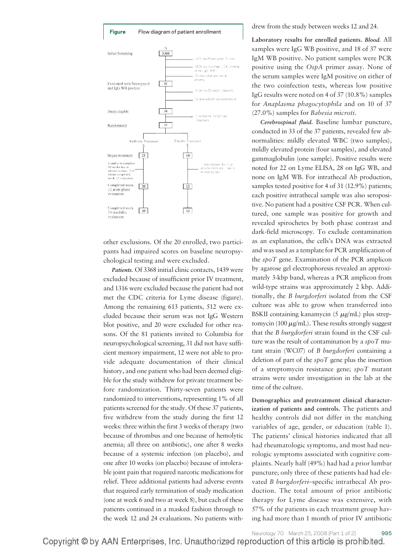

other exclusions. Of the 20 enrolled, two participants had impaired scores on baseline neuropsychological testing and were excluded.

*Patients.* Of 3368 initial clinic contacts, 1439 were excluded because of insufficient prior IV treatment, and 1316 were excluded because the patient had not met the CDC criteria for Lyme disease (figure). Among the remaining 613 patients, 512 were excluded because their serum was not IgG Western blot positive, and 20 were excluded for other reasons. Of the 81 patients invited to Columbia for neuropsychological screening, 31 did not have sufficient memory impairment, 12 were not able to provide adequate documentation of their clinical history, and one patient who had been deemed eligible for the study withdrew for private treatment before randomization. Thirty-seven patients were randomized to interventions, representing 1% of all patients screened for the study. Of these 37 patients, five withdrew from the study during the first 12 weeks: three within the first 3 weeks of therapy (two because of thrombus and one because of hemolytic anemia; all three on antibiotic), one after 8 weeks because of a systemic infection (on placebo), and one after 10 weeks (on placebo) because of intolerable joint pain that required narcotic medications for relief. Three additional patients had adverse events that required early termination of study medication (one at week 6 and two at week 8), but each of these patients continued in a masked fashion through to the week 12 and 24 evaluations. No patients withdrew from the study between weeks 12 and 24.

**Laboratory results for enrolled patients.** *Blood.* All samples were IgG WB positive, and 18 of 37 were IgM WB positive. No patient samples were PCR positive using the *OspA* primer assay. None of the serum samples were IgM positive on either of the two coinfection tests, whereas low positive IgG results were noted on 4 of 37 (10.8%) samples for *Anaplasma phagocytophila* and on 10 of 37 (27.0%) samples for *Babesia microti.*

*Cerebrospinal fluid.* Baseline lumbar puncture, conducted in 33 of the 37 patients, revealed few abnormalities: mildly elevated WBC (two samples), mildly elevated protein (four samples), and elevated gammaglobulin (one sample). Positive results were noted for 22 on Lyme ELISA, 28 on IgG WB, and none on IgM WB. For intrathecal Ab production, samples tested positive for 4 of 31 (12.9%) patients; each positive intrathecal sample was also seropositive. No patient had a positive CSF PCR. When cultured, one sample was positive for growth and revealed spirochetes by both phase contrast and dark-field microscopy. To exclude contamination as an explanation, the cells's DNA was extracted and was used as a template for PCR amplification of the *spoT* gene. Examination of the PCR amplicon by agarose gel electrophoresis revealed an approximately 3-kbp band, whereas a PCR amplicon from wild-type strains was approximately 2 kbp. Additionally, the *B burgdorferi* isolated from the CSF culture was able to grow when transferred into BSKII containing kanamycin (5  $\mu$ g/mL) plus streptomycin (100  $\mu$ g/mL). These results strongly suggest that the *B burgdorferi* strain found in the CSF culture was the result of contamination by a *spoT* mutant strain (WC07) of *B burgdorferi* containing a deletion of part of the *spoT* gene plus the insertion of a streptomycin resistance gene; *spoT* mutant strains were under investigation in the lab at the time of the culture.

**Demographics and pretreatment clinical characterization of patients and controls.** The patients and healthy controls did not differ in the matching variables of age, gender, or education (table 1). The patients' clinical histories indicated that all had rheumatologic symptoms, and most had neurologic symptoms associated with cognitive complaints. Nearly half (49%) had had a prior lumbar puncture; only three of these patients had had elevated *B burgdorferi*–specific intrathecal Ab production. The total amount of prior antibiotic therapy for Lyme disease was extensive, with 57% of the patients in each treatment group having had more than 1 month of prior IV antibiotic

Neurology 70 March 25, 2008 (Part 1 of 2) 995 Copyright © by AAN Enterprises, Inc. Unauthorized reproduction of this article is prohibited.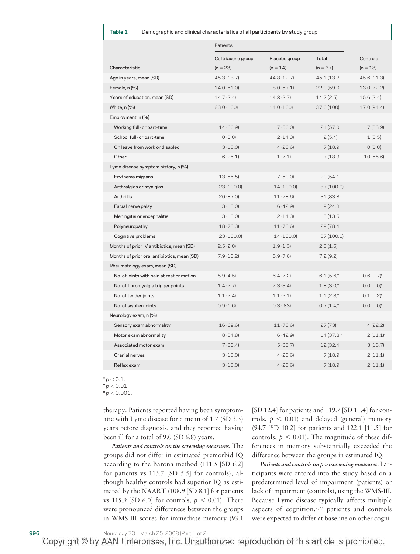| Table 1 | Demographic and clinical characteristics of all participants by study group |  |  |  |  |
|---------|-----------------------------------------------------------------------------|--|--|--|--|
|         |                                                                             |  |  |  |  |

|                                             | Patients          |               |                         |                       |
|---------------------------------------------|-------------------|---------------|-------------------------|-----------------------|
|                                             | Ceftriaxone group | Placebo group | Total                   | Controls              |
| Characteristic                              | $(n = 23)$        | $(n = 14)$    | $(n = 37)$              | $(n = 18)$            |
| Age in years, mean (SD)                     | 45.3 (13.7)       | 44.8 (12.7)   | 45.1 (13.2)             | 45.6 (11.3)           |
| Female, n (%)                               | 14.0 (61.0)       | 8.0(57.1)     | 22.0 (59.0)             | 13.0 (72.2)           |
| Years of education, mean (SD)               | 14.7(2.4)         | 14.8(2.7)     | 14.7 (2.5)              | 15.6 (2.4)            |
| White, n (%)                                | 23.0 (100)        | 14.0 (100)    | 37.0 (100)              | 17.0 (94.4)           |
| Employment, n (%)                           |                   |               |                         |                       |
| Working full- or part-time                  | 14 (60.9)         | 7(50.0)       | 21(57.0)                | 7(33.9)               |
| School full- or part-time                   | 0(0.0)            | 2(14.3)       | 2(5.4)                  | 1(5.5)                |
| On leave from work or disabled              | 3(13.0)           | 4(28.6)       | 7(18.9)                 | (0.0)                 |
| Other                                       | 6(26.1)           | 1(7.1)        | 7(18.9)                 | 10(55.6)              |
| Lyme disease symptom history, n (%)         |                   |               |                         |                       |
| Erythema migrans                            | 13(56.5)          | 7(50.0)       | 20(54.1)                |                       |
| Arthralgias or myalgias                     | 23 (100.0)        | 14 (100.0)    | 37 (100.0)              |                       |
| Arthritis                                   | 20 (87.0)         | 11 (78.6)     | 31 (83.8)               |                       |
| Facial nerve palsy                          | 3(13.0)           | 6(42.9)       | 9(24.3)                 |                       |
| Meningitis or encephalitis                  | 3(13.0)           | 2(14.3)       | 5(13.5)                 |                       |
| Polyneuropathy                              | 18 (78.3)         | 11 (78.6)     | 29(78.4)                |                       |
| Cognitive problems                          | 23 (100.0)        | 14 (100.0)    | 37 (100.0)              |                       |
| Months of prior IV antibiotics, mean (SD)   | 2.5(2.0)          | 1.9(1.3)      | 2.3(1.6)                |                       |
| Months of prior oral antibiotics, mean (SD) | 7.9 (10.2)        | 5.9(7.6)      | 7.2(9.2)                |                       |
| Rheumatology exam, mean (SD)                |                   |               |                         |                       |
| No. of joints with pain at rest or motion   | 5.9(4.5)          | 6.4(7.2)      | $6.1(5.6)$ <sup>+</sup> | $0.6(0.7)+$           |
| No. of fibromyalgia trigger points          | 1.4(2.7)          | 2.3(3.4)      | $1.8(3.0)$ <sup>+</sup> | $0.0(0.0)+$           |
| No. of tender joints                        | 1.1(2.4)          | 1.1(2.1)      | $1.1(2.3)$ <sup>+</sup> | $0.1(0.2)^{+}$        |
| No. of swollen joints                       | 0.9(1.6)          | $0.3$ (.83)   | $0.7(1.4)$ <sup>+</sup> | $0.0(0.0)^*$          |
| Neurology exam, n (%)                       |                   |               |                         |                       |
| Sensory exam abnormality                    | 16 (69.6)         | 11 (78.6)     | $27(73)*$               | 4 (22.2) <sup>#</sup> |
| Motor exam abnormality                      | 8(34.8)           | 6(42.9)       | $14(37.8)^{*}$          | $2(11.1)^{*}$         |
| Associated motor exam                       | 7(30.4)           | 5(35.7)       | 12(32.4)                | 3(16.7)               |
| Cranial nerves                              | 3(13.0)           | 4(28.6)       | 7(18.9)                 | 2(11.1)               |
| Reflex exam                                 | 3(13.0)           | 4(28.6)       | 7(18.9)                 | 2(11.1)               |

 $^{\star}$   $p <$  0.1.

† *p* - 0.01.

‡ *p* - 0.001.

therapy. Patients reported having been symptomatic with Lyme disease for a mean of 1.7 (SD 3.5) years before diagnosis, and they reported having been ill for a total of 9.0 (SD 6.8) years.

*Patients and controls on the screening measures.* The groups did not differ in estimated premorbid IQ according to the Barona method (111.5 [SD 6.2] for patients vs 113.7 [SD 5.5] for controls), although healthy controls had superior IQ as estimated by the NAART (108.9 [SD 8.1] for patients vs 115.9 [SD 6.0] for controls,  $p < 0.01$ ). There were pronounced differences between the groups in WMS-III scores for immediate memory (93.1

[SD 12.4] for patients and 119.7 [SD 11.4] for controls,  $p < 0.01$ ) and delayed (general) memory (94.7 [SD 10.2] for patients and 122.1 [11.5] for controls,  $p < 0.01$ ). The magnitude of these differences in memory substantially exceeded the difference between the groups in estimated IQ.

*Patients and controls on postscreening measures.* Participants were entered into the study based on a predetermined level of impairment (patients) or lack of impairment (controls), using the WMS-III. Because Lyme disease typically affects multiple aspects of cognition, $2,27$  patients and controls were expected to differ at baseline on other cogni-

996 Neurology 70 March 25, 2008 (Part 1 of 2)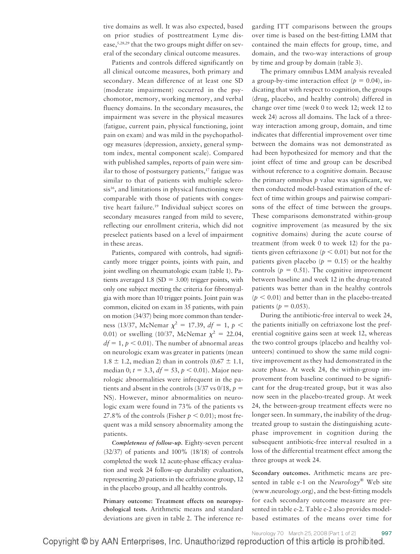tive domains as well. It was also expected, based on prior studies of posttreatment Lyme disease,5,28,29 that the two groups might differ on several of the secondary clinical outcome measures.

Patients and controls differed significantly on all clinical outcome measures, both primary and secondary. Mean difference of at least one SD (moderate impairment) occurred in the psychomotor, memory, working memory, and verbal fluency domains. In the secondary measures, the impairment was severe in the physical measures (fatigue, current pain, physical functioning, joint pain on exam) and was mild in the psychopathology measures (depression, anxiety, general symptom index, mental component scale). Compared with published samples, reports of pain were similar to those of postsurgery patients, $17$  fatigue was similar to that of patients with multiple sclerosis<sup>16</sup>, and limitations in physical functioning were comparable with those of patients with congestive heart failure.<sup>19</sup> Individual subject scores on secondary measures ranged from mild to severe, reflecting our enrollment criteria, which did not preselect patients based on a level of impairment in these areas.

Patients, compared with controls, had significantly more trigger points, joints with pain, and joint swelling on rheumatologic exam (table 1). Patients averaged 1.8 (SD =  $3.00$ ) trigger points, with only one subject meeting the criteria for fibromyalgia with more than 10 trigger points. Joint pain was common, elicited on exam in 35 patients, with pain on motion (34/37) being more common than tenderness (13/37, McNemar  $\chi^2 = 17.39$ ,  $df = 1$ ,  $p <$ 0.01) or swelling (10/37, McNemar  $\chi^2 = 22.04$ ,  $df = 1, p < 0.01$ ). The number of abnormal areas on neurologic exam was greater in patients (mean 1.8  $\pm$  1.2, median 2) than in controls (0.67  $\pm$  1.1, median 0;  $t = 3.3$ ,  $df = 53$ ,  $p < 0.01$ ). Major neurologic abnormalities were infrequent in the patients and absent in the controls  $(3/37 \text{ vs } 0/18, p =$ NS). However, minor abnormalities on neurologic exam were found in 73% of the patients vs 27.8% of the controls (Fisher  $p < 0.01$ ); most frequent was a mild sensory abnormality among the patients.

*Completeness of follow-up.* Eighty-seven percent (32/37) of patients and 100% (18/18) of controls completed the week 12 acute-phase efficacy evaluation and week 24 follow-up durability evaluation, representing 20 patients in the ceftriaxone group, 12 in the placebo group, and all healthy controls.

**Primary outcome: Treatment effects on neuropsychological tests.** Arithmetic means and standard deviations are given in table 2. The inference regarding ITT comparisons between the groups over time is based on the best-fitting LMM that contained the main effects for group, time, and domain, and the two-way interactions of group by time and group by domain (table 3).

The primary omnibus LMM analysis revealed a group-by-time interaction effect  $(p = 0.04)$ , indicating that with respect to cognition, the groups (drug, placebo, and healthy controls) differed in change over time (week 0 to week 12; week 12 to week 24) across all domains. The lack of a threeway interaction among group, domain, and time indicates that differential improvement over time between the domains was not demonstrated as had been hypothesized for memory and that the joint effect of time and group can be described without reference to a cognitive domain. Because the primary omnibus  $p$  value was significant, we then conducted model-based estimation of the effect of time within groups and pairwise comparisons of the effect of time between the groups. These comparisons demonstrated within-group cognitive improvement (as measured by the six cognitive domains) during the acute course of treatment (from week 0 to week 12) for the patients given ceftriaxone ( $p < 0.01$ ) but not for the patients given placebo ( $p = 0.15$ ) or the healthy controls ( $p = 0.51$ ). The cognitive improvement between baseline and week 12 in the drug-treated patients was better than in the healthy controls  $(p < 0.01)$  and better than in the placebo-treated patients ( $p = 0.053$ ).

During the antibiotic-free interval to week 24, the patients initially on ceftriaxone lost the preferential cognitive gains seen at week 12, whereas the two control groups (placebo and healthy volunteers) continued to show the same mild cognitive improvement as they had demonstrated in the acute phase. At week 24, the within-group improvement from baseline continued to be significant for the drug-treated group, but it was also now seen in the placebo-treated group. At week 24, the between-group treatment effects were no longer seen. In summary, the inability of the drugtreated group to sustain the distinguishing acutephase improvement in cognition during the subsequent antibiotic-free interval resulted in a loss of the differential treatment effect among the three groups at week 24.

**Secondary outcomes.** Arithmetic means are presented in table e-1 on the *Neurology*® Web site (www.neurology.org), and the best-fitting models for each secondary outcome measure are presented in table e-2. Table e-2 also provides modelbased estimates of the means over time for

Neurology 70 March 25, 2008 (Part 1 of 2) 997 Copyright © by AAN Enterprises, Inc. Unauthorized reproduction of this article is prohibited.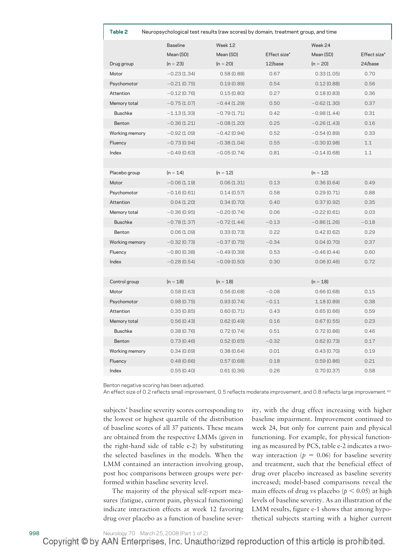| Table 2<br>Neuropsychological test results (raw scores) by domain, treatment group, and time |                 |               |              |               |              |
|----------------------------------------------------------------------------------------------|-----------------|---------------|--------------|---------------|--------------|
|                                                                                              | <b>Baseline</b> | Week 12       |              | Week 24       |              |
|                                                                                              | Mean (SD)       | Mean (SD)     | Effect size* | Mean (SD)     | Effect size* |
| Drug group                                                                                   | $(n = 23)$      | $(n = 20)$    | 12/base      | $(n = 20)$    | 24/base      |
| Motor                                                                                        | $-0.23(1.34)$   | 0.58(0.88)    | 0.67         | 0.33(1.05)    | 0.70         |
| Psychomotor                                                                                  | $-0.21(0.75)$   | 0.19(0.89)    | 0.54         | 0.12(0.88)    | 0.56         |
| Attention                                                                                    | $-0.12(0.76)$   | 0.15(0.80)    | 0.27         | 0.18(0.83)    | 0.36         |
| Memory total                                                                                 | $-0.75(1.07)$   | $-0.44(1.29)$ | 0.50         | $-0.62(1.30)$ | 0.37         |
| <b>Buschke</b>                                                                               | $-1.13(1.33)$   | $-0.79(1.71)$ | 0.42         | $-0.98(1.44)$ | 0.31         |
| Benton                                                                                       | $-0.36(1.21)$   | $-0.08(1.20)$ | 0.25         | $-0.26(1.43)$ | 0.16         |
| Working memory                                                                               | $-0.92(1.09)$   | $-0.42(0.94)$ | 0.52         | $-0.54(0.89)$ | 0.33         |
| Fluency                                                                                      | $-0.73(0.94)$   | $-0.38(1.04)$ | 0.55         | $-0.30(0.98)$ | 1.1          |
| Index                                                                                        | $-0.49(0.63)$   | $-0.05(0.74)$ | 0.81         | $-0.14(0.68)$ | 1.1          |
|                                                                                              |                 |               |              |               |              |
| Placebo group                                                                                | $(n = 14)$      | $(n = 12)$    |              | $(n = 12)$    |              |
| Motor                                                                                        | $-0.06(1.19)$   | 0.06(1.31)    | 0.13         | 0.36(0.64)    | 0.49         |
| Psychomotor                                                                                  | $-0.16(0.61)$   | 0.14(0.57)    | 0.58         | 0.29(0.71)    | 0.88         |
| Attention                                                                                    | 0.04(1.20)      | 0.34(0.70)    | 0.40         | 0.37(0.92)    | 0.35         |
| Memory total                                                                                 | $-0.36(0.95)$   | $-0.20(0.74)$ | 0.06         | $-0.22(0.61)$ | 0.03         |
| <b>Buschke</b>                                                                               | $-0.78(1.37)$   | $-0.72(1.44)$ | $-0.13$      | $-0.86(1.26)$ | $-0.18$      |
| Benton                                                                                       | 0.06(1.09)      | 0.33(0.73)    | 0.22         | 0.42(0.62)    | 0.29         |
| Working memory                                                                               | $-0.32(0.73)$   | $-0.37(0.75)$ | $-0.34$      | 0.04(0.70)    | 0.37         |
| Fluency                                                                                      | $-0.80(0.38)$   | $-0.49(0.39)$ | 0.53         | $-0.46(0.44)$ | 0.60         |
| Index                                                                                        | $-0.28(0.54)$   | $-0.09(0.50)$ | 0.30         | 0.06(0.46)    | 0.72         |
|                                                                                              |                 |               |              |               |              |
| Control group                                                                                | $(n = 18)$      | $(n = 18)$    |              | $(n = 18)$    |              |
| Motor                                                                                        | 0.58(0.63)      | 0.56(0.68)    | $-0.08$      | 0.66(0.68)    | 0.15         |
| Psychomotor                                                                                  | 0.98(0.75)      | 0.93(0.74)    | $-0.11$      | 1.18(0.89)    | 0.38         |
| Attention                                                                                    | 0.35(0.85)      | 0.60(0.71)    | 0.43         | 0.65(0.66)    | 0.59         |
| Memory total                                                                                 | 0.56(0.43)      | 0.62(0.49)    | 0.16         | 0.67(0.55)    | 0.23         |
| <b>Buschke</b>                                                                               | 0.38(0.76)      | 0.72(0.74)    | 0.51         | 0.72(0.86)    | 0.46         |
| Benton                                                                                       | 0.73(0.46)      | 0.52(0.65)    | $-0.32$      | 0.62(0.73)    | 0.17         |
| Working memory                                                                               | 0.34(0.69)      | 0.38(0.64)    | 0.01         | 0.43(0.70)    | 0.19         |
| Fluency                                                                                      | 0.48(0.66)      | 0.57(0.68)    | 0.18         | 0.59(0.86)    | 0.21         |
| Index                                                                                        | 0.55(0.40)      | 0.61(0.36)    | 0.26         | 0.70(0.37)    | 0.58         |

Benton negative scoring has been adjusted.

An effect size of 0.2 reflects small improvement, 0.5 reflects moderate improvement, and 0.8 reflects large improvement.<sup>40</sup>

subjects' baseline severity scores corresponding to the lowest or highest quartile of the distribution of baseline scores of all 37 patients. These means are obtained from the respective LMMs (given in the right-hand side of table e-2) by substituting the selected baselines in the models. When the LMM contained an interaction involving group, post hoc comparisons between groups were performed within baseline severity level.

The majority of the physical self-report measures (fatigue, current pain, physical functioning) indicate interaction effects at week 12 favoring drug over placebo as a function of baseline severity, with the drug effect increasing with higher baseline impairment. Improvement continued to week 24, but only for current pain and physical functioning. For example, for physical functioning as measured by PCS, table e-2 indicates a twoway interaction ( $p = 0.06$ ) for baseline severity and treatment, such that the beneficial effect of drug over placebo increased as baseline severity increased; model-based comparisons reveal the main effects of drug vs placebo ( $p < 0.05$ ) at high levels of baseline severity. As an illustration of the LMM results, figure e-1 shows that among hypothetical subjects starting with a higher current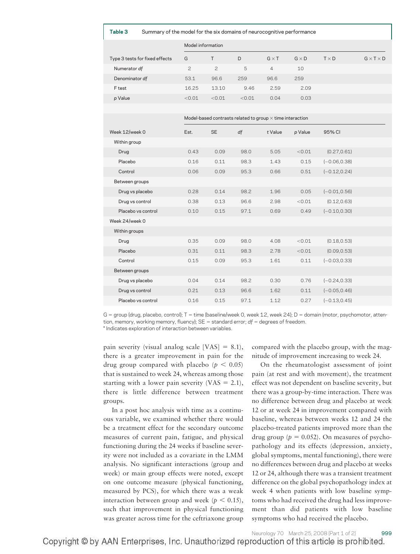| Summary of the model for the six domains of neurocognitive performance<br>Table 3 |                |                   |                                                                  |                |              |                 |                       |
|-----------------------------------------------------------------------------------|----------------|-------------------|------------------------------------------------------------------|----------------|--------------|-----------------|-----------------------|
|                                                                                   |                | Model information |                                                                  |                |              |                 |                       |
| Type 3 tests for fixed effects                                                    | G              | T.                | D                                                                | $G \times T$   | $G \times D$ | $T \times D$    | $G \times T \times D$ |
| Numerator df                                                                      | $\overline{c}$ | $\mathbf{2}$      | 5                                                                | $\overline{4}$ | 10           |                 |                       |
| Denominator df                                                                    | 53.1           | 96.6              | 259                                                              | 96.6           | 259          |                 |                       |
| F test                                                                            | 16.25          | 13.10             | 9.46                                                             | 2.59           | 2.09         |                 |                       |
| p Value                                                                           | < 0.01         | < 0.01            | < 0.01                                                           | 0.04           | 0.03         |                 |                       |
|                                                                                   |                |                   |                                                                  |                |              |                 |                       |
|                                                                                   |                |                   | Model-based contrasts related to group $\times$ time interaction |                |              |                 |                       |
| Week 12/week 0                                                                    | Est.           | <b>SE</b>         | df                                                               | t Value        | p Value      | 95% CI          |                       |
| Within group                                                                      |                |                   |                                                                  |                |              |                 |                       |
| Drug                                                                              | 0.43           | 0.09              | 98.0                                                             | 5.05           | < 0.01       | (0.27, 0.61)    |                       |
| Placebo                                                                           | 0.16           | 0.11              | 98.3                                                             | 1.43           | 0.15         | $(-0.06, 0.38)$ |                       |
| Control                                                                           | 0.06           | 0.09              | 95.3                                                             | 0.66           | 0.51         | $(-0.12, 0.24)$ |                       |
| Between groups                                                                    |                |                   |                                                                  |                |              |                 |                       |
| Drug vs placebo                                                                   | 0.28           | 0.14              | 98.2                                                             | 1.96           | 0.05         | $(-0.01, 0.56)$ |                       |
| Drug vs control                                                                   | 0.38           | 0.13              | 96.6                                                             | 2.98           | < 0.01       | (0.12, 0.63)    |                       |
| Placebo vs control                                                                | 0.10           | 0.15              | 97.1                                                             | 0.69           | 0.49         | $(-0.10, 0.30)$ |                       |
| Week 24/week 0                                                                    |                |                   |                                                                  |                |              |                 |                       |
| Within groups                                                                     |                |                   |                                                                  |                |              |                 |                       |
| Drug                                                                              | 0.35           | 0.09              | 98.0                                                             | 4.08           | < 0.01       | (0.18, 0.53)    |                       |
| Placebo                                                                           | 0.31           | 0.11              | 98.3                                                             | 2.78           | < 0.01       | (0.09, 0.53)    |                       |
| Control                                                                           | 0.15           | 0.09              | 95.3                                                             | 1.61           | 0.11         | $(-0.03, 0.33)$ |                       |
| Between groups                                                                    |                |                   |                                                                  |                |              |                 |                       |
| Drug vs placebo                                                                   | 0.04           | 0.14              | 98.2                                                             | 0.30           | 0.76         | $(-0.24, 0.33)$ |                       |
| Drug vs control                                                                   | 0.21           | 0.13              | 96.6                                                             | 1.62           | 0.11         | $(-0.05, 0.46)$ |                       |
| Placebo vs control                                                                | 0.16           | 0.15              | 97.1                                                             | 1.12           | 0.27         | $(-0.13, 0.45)$ |                       |

 $G =$  group (drug, placebo, control);  $T =$  time (baseline/week 0, week 12, week 24); D = domain (motor, psychomotor, attention, memory, working memory, fluency);  $SE =$  standard error;  $df =$  degrees of freedom.

\* Indicates exploration of interaction between variables.

pain severity (visual analog scale [VAS]  $= 8.1$ ), there is a greater improvement in pain for the drug group compared with placebo ( $p < 0.05$ ) that is sustained to week 24, whereas among those starting with a lower pain severity (VAS  $= 2.1$ ), there is little difference between treatment groups.

In a post hoc analysis with time as a continuous variable, we examined whether there would be a treatment effect for the secondary outcome measures of current pain, fatigue, and physical functioning during the 24 weeks if baseline severity were not included as a covariate in the LMM analysis. No significant interactions (group and week) or main group effects were noted, except on one outcome measure (physical functioning, measured by PCS), for which there was a weak interaction between group and week ( $p < 0.15$ ), such that improvement in physical functioning was greater across time for the ceftriaxone group compared with the placebo group, with the magnitude of improvement increasing to week 24.

On the rheumatologist assessment of joint pain (at rest and with movement), the treatment effect was not dependent on baseline severity, but there was a group-by-time interaction. There was no difference between drug and placebo at week 12 or at week 24 in improvement compared with baseline, whereas between weeks 12 and 24 the placebo-treated patients improved more than the drug group ( $p = 0.052$ ). On measures of psychopathology and its effects (depression, anxiety, global symptoms, mental functioning), there were no differences between drug and placebo at weeks 12 or 24, although there was a transient treatment difference on the global psychopathology index at week 4 when patients with low baseline symptoms who had received the drug had less improvement than did patients with low baseline symptoms who had received the placebo.

Neurology 70 March 25, 2008 (Part 1 of 2) 999 Copyright © by AAN Enterprises, Inc. Unauthorized reproduction of this article is prohibited.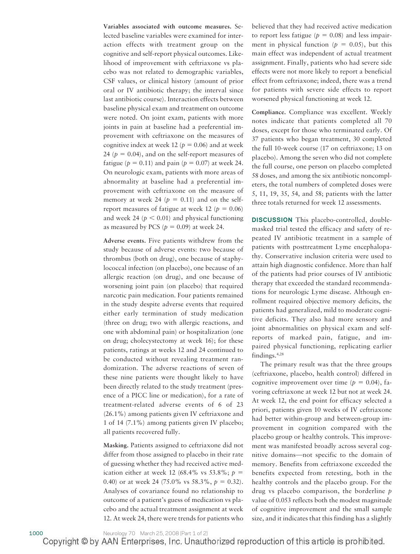**Variables associated with outcome measures.** Selected baseline variables were examined for interaction effects with treatment group on the cognitive and self-report physical outcomes. Likelihood of improvement with ceftriaxone vs placebo was not related to demographic variables, CSF values, or clinical history (amount of prior oral or IV antibiotic therapy; the interval since last antibiotic course). Interaction effects between baseline physical exam and treatment on outcome were noted. On joint exam, patients with more joints in pain at baseline had a preferential improvement with ceftriaxone on the measures of cognitive index at week 12 ( $p = 0.06$ ) and at week 24 ( $p = 0.04$ ), and on the self-report measures of fatigue ( $p = 0.11$ ) and pain ( $p = 0.07$ ) at week 24. On neurologic exam, patients with more areas of abnormality at baseline had a preferential improvement with ceftriaxone on the measure of memory at week 24 ( $p = 0.11$ ) and on the selfreport measures of fatigue at week 12 ( $p = 0.06$ ) and week 24 ( $p < 0.01$ ) and physical functioning as measured by PCS ( $p = 0.09$ ) at week 24.

**Adverse events.** Five patients withdrew from the study because of adverse events: two because of thrombus (both on drug), one because of staphylococcal infection (on placebo), one because of an allergic reaction (on drug), and one because of worsening joint pain (on placebo) that required narcotic pain medication. Four patients remained in the study despite adverse events that required either early termination of study medication (three on drug; two with allergic reactions, and one with abdominal pain) or hospitalization (one on drug; cholecystectomy at week 16); for these patients, ratings at weeks 12 and 24 continued to be conducted without revealing treatment randomization. The adverse reactions of seven of these nine patients were thought likely to have been directly related to the study treatment (presence of a PICC line or medication), for a rate of treatment-related adverse events of 6 of 23 (26.1%) among patients given IV ceftriaxone and 1 of 14 (7.1%) among patients given IV placebo; all patients recovered fully.

**Masking.** Patients assigned to ceftriaxone did not differ from those assigned to placebo in their rate of guessing whether they had received active medication either at week 12 (68.4% vs 53.8%;  $p =$ 0.40) or at week 24 (75.0% vs 58.3%,  $p = 0.32$ ). Analyses of covariance found no relationship to outcome of a patient's guess of medication vs placebo and the actual treatment assignment at week 12. At week 24, there were trends for patients who believed that they had received active medication to report less fatigue ( $p = 0.08$ ) and less impairment in physical function ( $p = 0.05$ ), but this main effect was independent of actual treatment assignment. Finally, patients who had severe side effects were not more likely to report a beneficial effect from ceftriaxone; indeed, there was a trend for patients with severe side effects to report worsened physical functioning at week 12.

**Compliance.** Compliance was excellent. Weekly notes indicate that patients completed all 70 doses, except for those who terminated early. Of 37 patients who began treatment, 30 completed the full 10-week course (17 on ceftriaxone; 13 on placebo). Among the seven who did not complete the full course, one person on placebo completed 58 doses, and among the six antibiotic noncompleters, the total numbers of completed doses were 5, 11, 19, 35, 54, and 58; patients with the latter three totals returned for week 12 assessments.

**DISCUSSION** This placebo-controlled, doublemasked trial tested the efficacy and safety of repeated IV antibiotic treatment in a sample of patients with posttreatment Lyme encephalopathy. Conservative inclusion criteria were used to attain high diagnostic confidence. More than half of the patients had prior courses of IV antibiotic therapy that exceeded the standard recommendations for neurologic Lyme disease. Although enrollment required objective memory deficits, the patients had generalized, mild to moderate cognitive deficits. They also had more sensory and joint abnormalities on physical exam and selfreports of marked pain, fatigue, and impaired physical functioning, replicating earlier findings.4,28

The primary result was that the three groups (ceftriaxone, placebo, health control) differed in cognitive improvement over time  $(p = 0.04)$ , favoring ceftriaxone at week 12 but not at week 24. At week 12, the end point for efficacy selected a priori, patients given 10 weeks of IV ceftriaxone had better within-group and between-group improvement in cognition compared with the placebo group or healthy controls. This improvement was manifested broadly across several cognitive domains—not specific to the domain of memory. Benefits from ceftriaxone exceeded the benefits expected from retesting, both in the healthy controls and the placebo group. For the drug vs placebo comparison, the borderline *p* value of 0.053 reflects both the modest magnitude of cognitive improvement and the small sample size, and it indicates that this finding has a slightly

<sup>1000</sup> Neurology 70 March 25, 2008 (Part 1 of 2)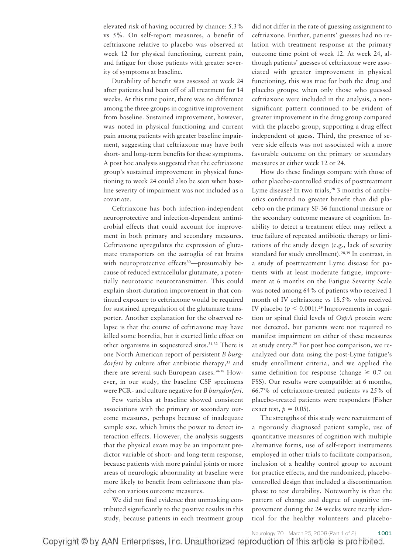elevated risk of having occurred by chance: 5.3% vs 5%. On self-report measures, a benefit of ceftriaxone relative to placebo was observed at week 12 for physical functioning, current pain, and fatigue for those patients with greater severity of symptoms at baseline.

Durability of benefit was assessed at week 24 after patients had been off of all treatment for 14 weeks. At this time point, there was no difference among the three groups in cognitive improvement from baseline. Sustained improvement, however, was noted in physical functioning and current pain among patients with greater baseline impairment, suggesting that ceftriaxone may have both short- and long-term benefits for these symptoms. A post hoc analysis suggested that the ceftriaxone group's sustained improvement in physical functioning to week 24 could also be seen when baseline severity of impairment was not included as a covariate.

Ceftriaxone has both infection-independent neuroprotective and infection-dependent antimicrobial effects that could account for improvement in both primary and secondary measures. Ceftriaxone upregulates the expression of glutamate transporters on the astroglia of rat brains with neuroprotective effects<sup>30</sup>—presumably because of reduced extracellular glutamate, a potentially neurotoxic neurotransmitter. This could explain short-duration improvement in that continued exposure to ceftriaxone would be required for sustained upregulation of the glutamate transporter. Another explanation for the observed relapse is that the course of ceftriaxone may have killed some borrelia, but it exerted little effect on other organisms in sequestered sites.31,32 There is one North American report of persistent *B burgdorferi* by culture after antibiotic therapy,<sup>33</sup> and there are several such European cases.34-38 However, in our study, the baseline CSF specimens were PCR- and culture negative for *B burgdorferi*.

Few variables at baseline showed consistent associations with the primary or secondary outcome measures, perhaps because of inadequate sample size, which limits the power to detect interaction effects. However, the analysis suggests that the physical exam may be an important predictor variable of short- and long-term response, because patients with more painful joints or more areas of neurologic abnormality at baseline were more likely to benefit from ceftriaxone than placebo on various outcome measures.

We did not find evidence that unmasking contributed significantly to the positive results in this study, because patients in each treatment group did not differ in the rate of guessing assignment to ceftriaxone. Further, patients' guesses had no relation with treatment response at the primary outcome time point of week 12. At week 24, although patients' guesses of ceftriaxone were associated with greater improvement in physical functioning, this was true for both the drug and placebo groups; when only those who guessed ceftriaxone were included in the analysis, a nonsignificant pattern continued to be evident of greater improvement in the drug group compared with the placebo group, supporting a drug effect independent of guess. Third, the presence of severe side effects was not associated with a more favorable outcome on the primary or secondary measures at either week 12 or 24.

How do these findings compare with those of other placebo-controlled studies of posttreatment Lyme disease? In two trials,<sup>28</sup> 3 months of antibiotics conferred no greater benefit than did placebo on the primary SF-36 functional measure or the secondary outcome measure of cognition. Inability to detect a treatment effect may reflect a true failure of repeated antibiotic therapy or limitations of the study design (e.g., lack of severity standard for study enrollment).28,39 In contrast, in a study of posttreatment Lyme disease for patients with at least moderate fatigue, improvement at 6 months on the Fatigue Severity Scale was noted among 64% of patients who received 1 month of IV ceftriaxone vs 18.5% who received IV placebo ( $p < 0.001$ ).<sup>29</sup> Improvements in cognition or spinal fluid levels of *OspA* protein were not detected, but patients were not required to manifest impairment on either of these measures at study entry.29 For post hoc comparison, we reanalyzed our data using the post-Lyme fatigue's study enrollment criteria, and we applied the same definition for response (change  $\geq 0.7$  on FSS). Our results were compatible: at 6 months, 66.7% of ceftriaxone-treated patients vs 25% of placebo-treated patients were responders (Fisher exact test,  $p = 0.05$ .

The strengths of this study were recruitment of a rigorously diagnosed patient sample, use of quantitative measures of cognition with multiple alternative forms, use of self-report instruments employed in other trials to facilitate comparison, inclusion of a healthy control group to account for practice effects, and the randomized, placebocontrolled design that included a discontinuation phase to test durability. Noteworthy is that the pattern of change and degree of cognitive improvement during the 24 weeks were nearly identical for the healthy volunteers and placebo-

Neurology 70 March 25, 2008 (Part 1 of 2)<br>Copyright © by AAN Enterprises, Inc. Unauthorized reproduction of this article is prohibited.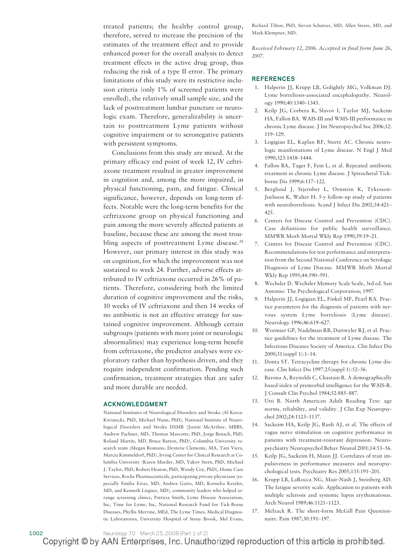treated patients; the healthy control group, therefore, served to increase the precision of the estimates of the treatment effect and to provide enhanced power for the overall analysis to detect treatment effects in the active drug group, thus reducing the risk of a type II error. The primary limitations of this study were its restrictive inclusion criteria (only 1% of screened patients were enrolled), the relatively small sample size, and the lack of posttreatment lumbar puncture or neurologic exam. Therefore, generalizability is uncertain to posttreatment Lyme patients without cognitive impairment or to seronegative patients with persistent symptoms.

Conclusions from this study are mixed. At the primary efficacy end point of week 12, IV ceftriaxone treatment resulted in greater improvement in cognition and, among the more impaired, in physical functioning, pain, and fatigue. Clinical significance, however, depends on long-term effects. Notable were the long-term benefits for the ceftriaxone group on physical functioning and pain among the more severely affected patients at baseline, because these are among the most troubling aspects of posttreatment Lyme disease.<sup>28</sup> However, our primary interest in this study was on cognition, for which the improvement was not sustained to week 24. Further, adverse effects attributed to IV ceftriaxone occurred in 26% of patients. Therefore, considering both the limited duration of cognitive improvement and the risks, 10 weeks of IV ceftriaxone and then 14 weeks of no antibiotic is not an effective strategy for sustained cognitive improvement. Although certain subgroups (patients with more joint or neurologic abnormalities) may experience long-term benefit from ceftriaxone, the predictor analyses were exploratory rather than hypothesis driven, and they require independent confirmation. Pending such confirmation, treatment strategies that are safer and more durable are needed.

#### **ACKNOWLEDGMENT**

National Institutes of Neurological Disorders and Stroke (Al Kerza-Kwiatecki, PhD, Michael Nunn, PhD), National Institute of Neurological Disorders and Stroke DSMB (Justin McArthur, MBBS, Andrew Pachner, MD, Thomas Marcotte, PhD, Jorge Benach, PhD, Roland Martin, MD, Bruce Barton, PhD), Columbia University research team (Megan Romano, Dexterie Clemente, MA, Tani Viera, Marcia Kimmeldorf, PhD), Irving Center for Clinical Research at Columbia University (Karen Marder, MD, Yakov Stern, PhD, Michael J. Taylor, PhD, Robert Heaton, PhD, Wendy Coy, PhD), Home Care Services, Roche Pharmaceuticals, participating private physicians (especially Emilia Eiras, MD, Andrea Gaito, MD, Kornelia Keszler, MD, and Kenneth Liegner, MD), community leaders who helped arrange screening clinics, Patricia Smith, Lyme Disease Association, Inc, Time for Lyme, Inc, National Research Fund for Tick-Borne Diseases, Phyllis Mervine, MEd, The Lyme Times, Medical Diagnostic Laboratories, University Hospital of Stony Brook, Mel Evans, Richard Tilton, PhD, Steven Schutzer, MD, Allen Steere, MD, and Mark Klempner, MD.

*Received February 12, 2006. Accepted in final form June 26, 2007.*

#### **REFERENCES**

- 1. Halperin JJ, Krupp LB, Golightly MG, Volkman DJ. Lyme borreliosis-associated encephalopathy. Neurology 1990;40:1340–1343.
- 2. Keilp JG, Corbera K, Slavov I, Taylor MJ, Sackeim HA, Fallon BA. WAIS-III and WMS-III performance in chronic Lyme disease. J Int Neuropsychol Soc 2006;12: 119–129.
- 3. Logigian EL, Kaplan RF, Steere AC. Chronic neurologic manifestations of Lyme disease. N Engl J Med 1990;323:1438–1444.
- 4. Fallon BA, Tager F, Fein L, et al. Repeated antibiotic treatment in chronic Lyme disease. J Spirochetal Tickborne Dis 1999;6:117–122.
- 5. Berglund J, Stjernber L, Ornstein K, Tykesson-Joelsson K, Walter H. 5-y follow-up study of patients with neuroborreliosis. Scand J Infect Dis 2002;34:421– 425.
- 6. Centers for Disease Control and Prevention (CDC). Case definitions for public health surveillance. MMWR Morb Mortal Wkly Rep 1990;39:19–21.
- 7. Centers for Disease Control and Prevention (CDC). Recommendations for test performance and interpretation from the Second National Conference on Serologic Diagnosis of Lyme Disease. MMWR Morb Mortal Wkly Rep 1995;44:590–591.
- 8. Wechsler D. Wechsler Memory Scale Scale, 3rd ed. San Antonio: The Psychological Corporation; 1997.
- 9. Halperin JJ, Logigian EL, Finkel MF, Pearl RA. Practice parameters for the diagnosis of patients with nervous system Lyme borreliosis (Lyme disease). Neurology 1996;46:619–627.
- 10. Wormser GP, Nadelman RB, Dattwyler RJ, et al. Practice guidelines for the treatment of Lyme disease. The Infectious Diseases Society of America. Clin Infect Dis 2000;31(suppl 1):1–14.
- 11. Donta ST. Tetracycline therapy for chronic Lyme disease. Clin Infect Dis 1997:25(suppl 1):52–56.
- 12. Barona A, Reynolds C, Chastain R. A demographically based index of premorbid intelligence for the WAIS-R. J Consult Clin Psychol 1984;52:885–887.
- 13. Utti B. North American Adult Reading Test: age norms, reliability, and validity. J Clin Exp Neuropsychol 2002;24:1123–1137.
- 14. Sackeim HA, Keilp JG, Rush AJ, et al. The effects of vagus nerve stimulation on cognitive performance in patients with treatment-resistant depression. Neuropsychiatry Neuropsychol Behav Neurol 2001;14:53–56.
- 15. Keilp JG, Sackeim H, Mann JJ. Correlates of trait impulsiveness in performance measures and neuropsychological tests. Psychiatry Res 2005;135:191–201.
- 16. Krupp LB, LaRocca NG, Muir-Nash J, Steinberg AD. The fatigue severity scale. Application to patients with multiple sclerosis and systemic lupus erythematosus. Arch Neurol 1989;46:1121–1123.
- 17. Melzack R. The short-form McGill Pain Questionnaire. Pain 1987;30:191–197.

#### 1002 Neurology 70 March 25, 2008 (Part 1 of 2)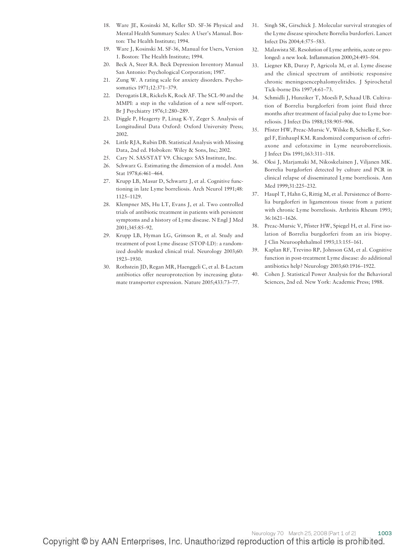- 18. Ware JE, Kosinski M, Keller SD. SF-36 Physical and Mental Health Summary Scales: A User's Manual. Boston: The Health Institute; 1994.
- 19. Ware J, Kosinski M. SF-36, Manual for Users, Version 1. Boston: The Health Institute; 1994.
- 20. Beck A, Steer RA. Beck Depression Inventory Manual San Antonio: Psychological Corporation; 1987.
- 21. Zung W. A rating scale for anxiety disorders. Psychosomatics 1971;12:371–379.
- 22. Derogatis LR, Rickels K, Rock AF. The SCL-90 and the MMPI: a step in the validation of a new self-report. Br J Psychiatry 1976;1:280–289.
- 23. Diggle P, Heagerty P, Linag K-Y, Zeger S. Analysis of Longitudinal Data Oxford: Oxford University Press; 2002.
- 24. Little RJA, Rubin DB. Statistical Analysis with Missing Data, 2nd ed. Hoboken: Wiley & Sons, Inc; 2002.
- 25. Cary N. SAS/STAT V9. Chicago: SAS Institute, Inc.
- 26. Schwarz G. Estimating the dimension of a model. Ann Stat 1978;6:461–464.
- 27. Krupp LB, Masur D, Schwartz J, et al. Cognitive functioning in late Lyme borreliosis. Arch Neurol 1991;48: 1125–1129.
- 28. Klempner MS, Hu LT, Evans J, et al. Two controlled trials of antibiotic treatment in patients with persistent symptoms and a history of Lyme disease. N Engl J Med 2001;345:85–92.
- 29. Krupp LB, Hyman LG, Grimson R, et al. Study and treatment of post Lyme disease (STOP-LD): a randomized double masked clinical trial. Neurology 2003;60: 1923–1930.
- 30. Rothstein JD, Regan MR, Haenggeli C, et al. B-Lactam antibiotics offer neuroprotection by increasing glutamate transporter expression. Nature 2005;433:73–77.
- 31. Singh SK, Girschick J. Molecular survival strategies of the Lyme disease spirochete Borrelia burdorferi. Lancet Infect Dis 2004;4:575–583.
- 32. Malawista SE. Resolution of Lyme arthritis, acute or prolonged: a new look. Inflammation 2000;24:493–504.
- 33. Liegner KB, Duray P, Agricola M, et al. Lyme disease and the clinical spectrum of antibiotic responsive chronic meningoencephalomyelitides. J Spirochetal Tick-borne Dis 1997;4:61–73.
- 34. Schmidli J, Hunziker T, Moesli P, Schaad UB. Cultivation of Borrelia burgdorferi from joint fluid three months after treatment of facial palsy due to Lyme borreliosis. J Infect Dis 1988;158:905–906.
- 35. Pfister HW, Preac-Mursic V, Wilske B, Schielke E, Sorgel F, Einhaupl KM. Randomized comparison of ceftriaxone and cefotaxime in Lyme neuroborreliosis. J Infect Dis 1991;163:311–318.
- 36. Oksi J, Marjamaki M, Nikoskelainen J, Viljanen MK. Borrelia burgdorferi detected by culture and PCR in clinical relapse of disseminated Lyme borreliosis. Ann Med 1999;31:225–232.
- 37. Haupl T, Hahn G, Rittig M, et al. Persistence of Borrelia burgdorferi in ligamentous tissue from a patient with chronic Lyme borreliosis. Arthritis Rheum 1993; 36:1621–1626.
- 38. Preac-Mursic V, Pfister HW, Spiegel H, et al. First isolation of Borrelia burgdorferi from an iris biopsy. J Clin Neuroophthalmol 1993;13:155–161.
- 39. Kaplan RF, Trevino RP, Johnson GM, et al. Cognitive function in post-treatment Lyme disease: do additional antibiotics help? Neurology 2003;60:1916–1922.
- 40. Cohen J. Statistical Power Analysis for the Behavioral Sciences, 2nd ed. New York: Academic Press; 1988.